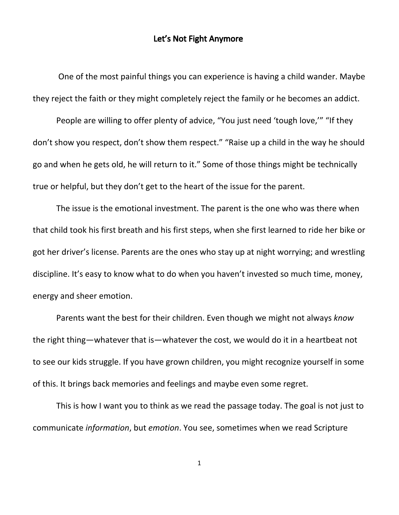## Let's Not Fight Anymore

One of the most painful things you can experience is having a child wander. Maybe they reject the faith or they might completely reject the family or he becomes an addict.

People are willing to offer plenty of advice, "You just need 'tough love," "If they don't show you respect, don't show them respect." "Raise up a child in the way he should go and when he gets old, he will return to it." Some of those things might be technically true or helpful, but they don't get to the heart of the issue for the parent.

The issue is the emotional investment. The parent is the one who was there when that child took his first breath and his first steps, when she first learned to ride her bike or got her driver's license. Parents are the ones who stay up at night worrying; and wrestling discipline. It's easy to know what to do when you haven't invested so much time, money, energy and sheer emotion.

Parents want the best for their children. Even though we might not always *know* the right thing—whatever that is—whatever the cost, we would do it in a heartbeat not to see our kids struggle. If you have grown children, you might recognize yourself in some of this. It brings back memories and feelings and maybe even some regret.

This is how I want you to think as we read the passage today. The goal is not just to communicate *information*, but *emotion*. You see, sometimes when we read Scripture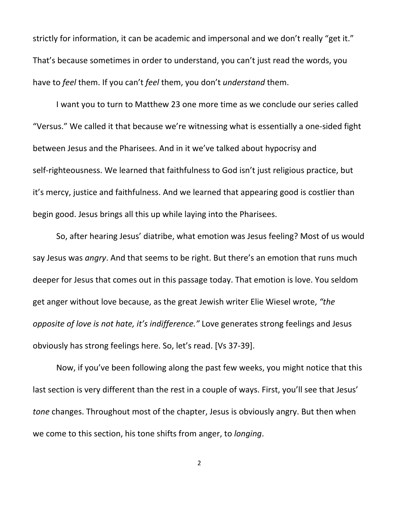strictly for information, it can be academic and impersonal and we don't really "get it." That's because sometimes in order to understand, you can't just read the words, you have to *feel* them. If you can't *feel* them, you don't *understand* them.

I want you to turn to Matthew 23 one more time as we conclude our series called "Versus." We called it that because we're witnessing what is essentially a one-sided fight between Jesus and the Pharisees. And in it we've talked about hypocrisy and self-righteousness. We learned that faithfulness to God isn't just religious practice, but it's mercy, justice and faithfulness. And we learned that appearing good is costlier than begin good. Jesus brings all this up while laying into the Pharisees.

So, after hearing Jesus' diatribe, what emotion was Jesus feeling? Most of us would say Jesus was *angry*. And that seems to be right. But there's an emotion that runs much deeper for Jesus that comes out in this passage today. That emotion is love. You seldom get anger without love because, as the great Jewish writer Elie Wiesel wrote, *"the opposite of love is not hate, it's indifference."* Love generates strong feelings and Jesus obviously has strong feelings here. So, let's read. [Vs 37-39].

Now, if you've been following along the past few weeks, you might notice that this last section is very different than the rest in a couple of ways. First, you'll see that Jesus' *tone* changes. Throughout most of the chapter, Jesus is obviously angry. But then when we come to this section, his tone shifts from anger, to *longing*.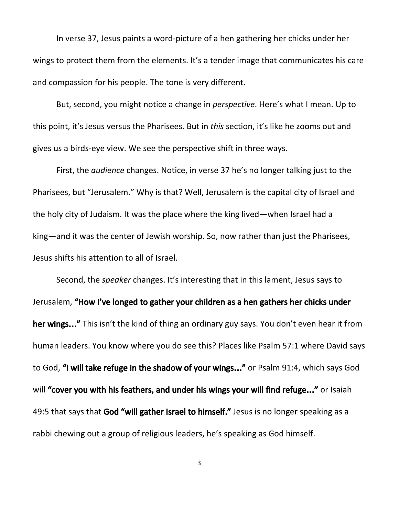In verse 37, Jesus paints a word-picture of a hen gathering her chicks under her wings to protect them from the elements. It's a tender image that communicates his care and compassion for his people. The tone is very different.

But, second, you might notice a change in *perspective*. Here's what I mean. Up to this point, it's Jesus versus the Pharisees. But in *this* section, it's like he zooms out and gives us a birds-eye view. We see the perspective shift in three ways.

First, the *audience* changes. Notice, in verse 37 he's no longer talking just to the Pharisees, but "Jerusalem." Why is that? Well, Jerusalem is the capital city of Israel and the holy city of Judaism. It was the place where the king lived—when Israel had a king—and it was the center of Jewish worship. So, now rather than just the Pharisees, Jesus shifts his attention to all of Israel.

Second, the *speaker* changes. It's interesting that in this lament, Jesus says to Jerusalem, "How I've longed to gather your children as a hen gathers her chicks under her wings..." This isn't the kind of thing an ordinary guy says. You don't even hear it from human leaders. You know where you do see this? Places like Psalm 57:1 where David says to God, "I will take refuge in the shadow of your wings…" or Psalm 91:4, which says God will "cover you with his feathers, and under his wings your will find refuge..." or Isaiah 49:5 that says that God "will gather Israel to himself." Jesus is no longer speaking as a rabbi chewing out a group of religious leaders, he's speaking as God himself.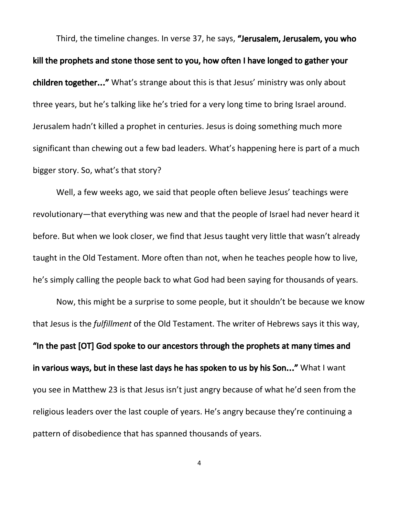Third, the timeline changes. In verse 37, he says, "Jerusalem, Jerusalem, you who kill the prophets and stone those sent to you, how often I have longed to gather your children together..." What's strange about this is that Jesus' ministry was only about three years, but he's talking like he's tried for a very long time to bring Israel around. Jerusalem hadn't killed a prophet in centuries. Jesus is doing something much more significant than chewing out a few bad leaders. What's happening here is part of a much bigger story. So, what's that story?

Well, a few weeks ago, we said that people often believe Jesus' teachings were revolutionary—that everything was new and that the people of Israel had never heard it before. But when we look closer, we find that Jesus taught very little that wasn't already taught in the Old Testament. More often than not, when he teaches people how to live, he's simply calling the people back to what God had been saying for thousands of years.

Now, this might be a surprise to some people, but it shouldn't be because we know that Jesus is the *fulfillment* of the Old Testament. The writer of Hebrews says it this way, "In the past [OT] God spoke to our ancestors through the prophets at many times and in various ways, but in these last days he has spoken to us by his Son..." What I want you see in Matthew 23 is that Jesus isn't just angry because of what he'd seen from the religious leaders over the last couple of years. He's angry because they're continuing a pattern of disobedience that has spanned thousands of years.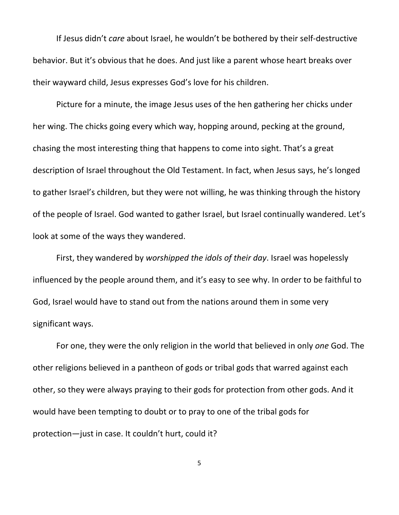If Jesus didn't *care* about Israel, he wouldn't be bothered by their self-destructive behavior. But it's obvious that he does. And just like a parent whose heart breaks over their wayward child, Jesus expresses God's love for his children.

Picture for a minute, the image Jesus uses of the hen gathering her chicks under her wing. The chicks going every which way, hopping around, pecking at the ground, chasing the most interesting thing that happens to come into sight. That's a great description of Israel throughout the Old Testament. In fact, when Jesus says, he's longed to gather Israel's children, but they were not willing, he was thinking through the history of the people of Israel. God wanted to gather Israel, but Israel continually wandered. Let's look at some of the ways they wandered.

First, they wandered by *worshipped the idols of their day*. Israel was hopelessly influenced by the people around them, and it's easy to see why. In order to be faithful to God, Israel would have to stand out from the nations around them in some very significant ways.

For one, they were the only religion in the world that believed in only *one* God. The other religions believed in a pantheon of gods or tribal gods that warred against each other, so they were always praying to their gods for protection from other gods. And it would have been tempting to doubt or to pray to one of the tribal gods for protection—just in case. It couldn't hurt, could it?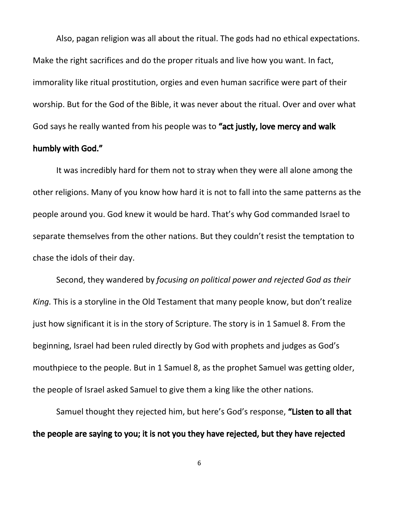Also, pagan religion was all about the ritual. The gods had no ethical expectations. Make the right sacrifices and do the proper rituals and live how you want. In fact, immorality like ritual prostitution, orgies and even human sacrifice were part of their worship. But for the God of the Bible, it was never about the ritual. Over and over what God says he really wanted from his people was to "act justly, love mercy and walk

## humbly with God."

It was incredibly hard for them not to stray when they were all alone among the other religions. Many of you know how hard it is not to fall into the same patterns as the people around you. God knew it would be hard. That's why God commanded Israel to separate themselves from the other nations. But they couldn't resist the temptation to chase the idols of their day.

Second, they wandered by *focusing on political power and rejected God as their King.* This is a storyline in the Old Testament that many people know, but don't realize just how significant it is in the story of Scripture. The story is in 1 Samuel 8. From the beginning, Israel had been ruled directly by God with prophets and judges as God's mouthpiece to the people. But in 1 Samuel 8, as the prophet Samuel was getting older, the people of Israel asked Samuel to give them a king like the other nations.

Samuel thought they rejected him, but here's God's response, "Listen to all that the people are saying to you; it is not you they have rejected, but they have rejected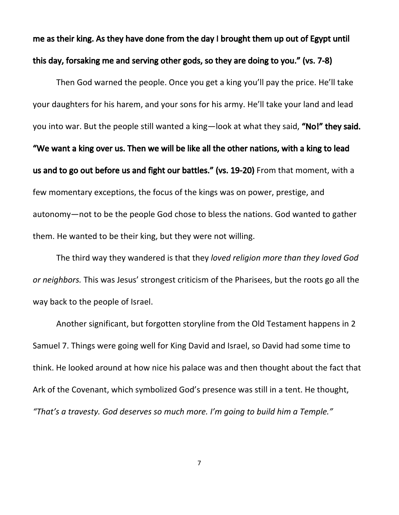me as their king. As they have done from the day I brought them up out of Egypt until this day, forsaking me and serving other gods, so they are doing to you." (vs. 7-8)

Then God warned the people. Once you get a king you'll pay the price. He'll take your daughters for his harem, and your sons for his army. He'll take your land and lead you into war. But the people still wanted a king—look at what they said, "No!" they said. "We want a king over us. Then we will be like all the other nations, with a king to lead us and to go out before us and fight our battles." (vs. 19-20) From that moment, with a few momentary exceptions, the focus of the kings was on power, prestige, and autonomy—not to be the people God chose to bless the nations. God wanted to gather them. He wanted to be their king, but they were not willing.

The third way they wandered is that they *loved religion more than they loved God or neighbors.* This was Jesus' strongest criticism of the Pharisees, but the roots go all the way back to the people of Israel.

Another significant, but forgotten storyline from the Old Testament happens in 2 Samuel 7. Things were going well for King David and Israel, so David had some time to think. He looked around at how nice his palace was and then thought about the fact that Ark of the Covenant, which symbolized God's presence was still in a tent. He thought, *"That's a travesty. God deserves so much more. I'm going to build him a Temple."*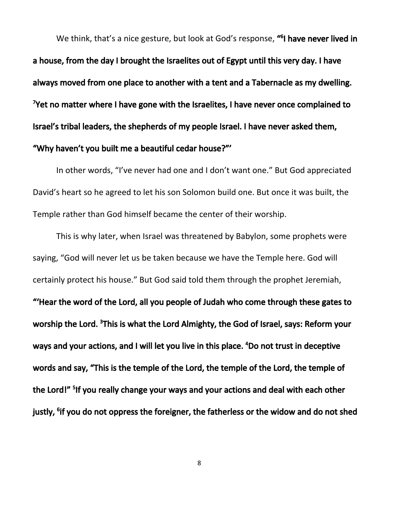We think, that's a nice gesture, but look at God's response, **"<sup>6</sup>I have never lived in** a house, from the day I brought the Israelites out of Egypt until this very day. I have always moved from one place to another with a tent and a Tabernacle as my dwelling. <sup>7</sup>Yet no matter where I have gone with the Israelites, I have never once complained to Israel's tribal leaders, the shepherds of my people Israel. I have never asked them, "Why haven't you built me a beautiful cedar house?"'

In other words, "I've never had one and I don't want one." But God appreciated David's heart so he agreed to let his son Solomon build one. But once it was built, the Temple rather than God himself became the center of their worship.

This is why later, when Israel was threatened by Babylon, some prophets were saying, "God will never let us be taken because we have the Temple here. God will certainly protect his house." But God said told them through the prophet Jeremiah, "'Hear the word of the Lord, all you people of Judah who come through these gates to worship the Lord. <sup>3</sup>This is what the Lord Almighty, the God of Israel, says: Reform your ways and your actions, and I will let you live in this place. <sup>4</sup>Do not trust in deceptive words and say, "This is the temple of the Lord, the temple of the Lord, the temple of the Lord!" <sup>5</sup>If you really change your ways and your actions and deal with each other justly, <sup>s</sup>if you do not oppress the foreigner, the fatherless or the widow and do not shed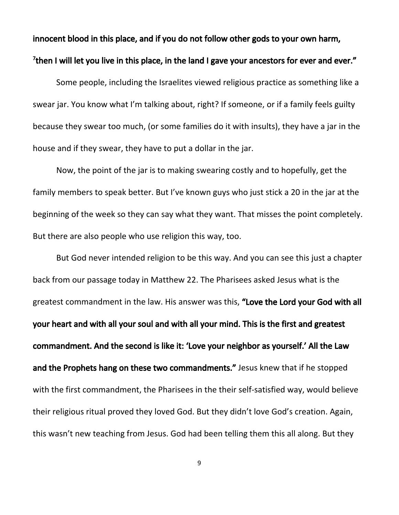## innocent blood in this place, and if you do not follow other gods to your own harm, <sup>7</sup>then I will let you live in this place, in the land I gave your ancestors for ever and ever."

Some people, including the Israelites viewed religious practice as something like a swear jar. You know what I'm talking about, right? If someone, or if a family feels guilty because they swear too much, (or some families do it with insults), they have a jar in the house and if they swear, they have to put a dollar in the jar.

Now, the point of the jar is to making swearing costly and to hopefully, get the family members to speak better. But I've known guys who just stick a 20 in the jar at the beginning of the week so they can say what they want. That misses the point completely. But there are also people who use religion this way, too.

But God never intended religion to be this way. And you can see this just a chapter back from our passage today in Matthew 22. The Pharisees asked Jesus what is the greatest commandment in the law. His answer was this, "Love the Lord your God with all your heart and with all your soul and with all your mind. This is the first and greatest commandment. And the second is like it: 'Love your neighbor as yourself.' All the Law and the Prophets hang on these two commandments." Jesus knew that if he stopped with the first commandment, the Pharisees in the their self-satisfied way, would believe their religious ritual proved they loved God. But they didn't love God's creation. Again, this wasn't new teaching from Jesus. God had been telling them this all along. But they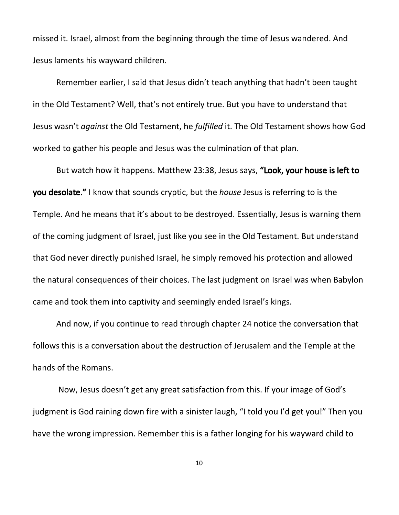missed it. Israel, almost from the beginning through the time of Jesus wandered. And Jesus laments his wayward children.

Remember earlier, I said that Jesus didn't teach anything that hadn't been taught in the Old Testament? Well, that's not entirely true. But you have to understand that Jesus wasn't *against* the Old Testament, he *fulfilled* it. The Old Testament shows how God worked to gather his people and Jesus was the culmination of that plan.

But watch how it happens. Matthew 23:38, Jesus says, "Look, your house is left to you desolate." I know that sounds cryptic, but the *house* Jesus is referring to is the Temple. And he means that it's about to be destroyed. Essentially, Jesus is warning them of the coming judgment of Israel, just like you see in the Old Testament. But understand that God never directly punished Israel, he simply removed his protection and allowed the natural consequences of their choices. The last judgment on Israel was when Babylon came and took them into captivity and seemingly ended Israel's kings.

And now, if you continue to read through chapter 24 notice the conversation that follows this is a conversation about the destruction of Jerusalem and the Temple at the hands of the Romans.

Now, Jesus doesn't get any great satisfaction from this. If your image of God's judgment is God raining down fire with a sinister laugh, "I told you I'd get you!" Then you have the wrong impression. Remember this is a father longing for his wayward child to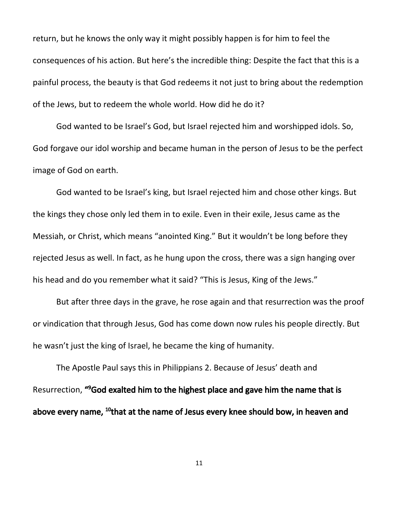return, but he knows the only way it might possibly happen is for him to feel the consequences of his action. But here's the incredible thing: Despite the fact that this is a painful process, the beauty is that God redeems it not just to bring about the redemption of the Jews, but to redeem the whole world. How did he do it?

God wanted to be Israel's God, but Israel rejected him and worshipped idols. So, God forgave our idol worship and became human in the person of Jesus to be the perfect image of God on earth.

God wanted to be Israel's king, but Israel rejected him and chose other kings. But the kings they chose only led them in to exile. Even in their exile, Jesus came as the Messiah, or Christ, which means "anointed King." But it wouldn't be long before they rejected Jesus as well. In fact, as he hung upon the cross, there was a sign hanging over his head and do you remember what it said? "This is Jesus, King of the Jews."

But after three days in the grave, he rose again and that resurrection was the proof or vindication that through Jesus, God has come down now rules his people directly. But he wasn't just the king of Israel, he became the king of humanity.

The Apostle Paul says this in Philippians 2. Because of Jesus' death and Resurrection, "<sup>9</sup>God exalted him to the highest place and gave him the name that is above every name, <sup>10</sup>that at the name of Jesus every knee should bow, in heaven and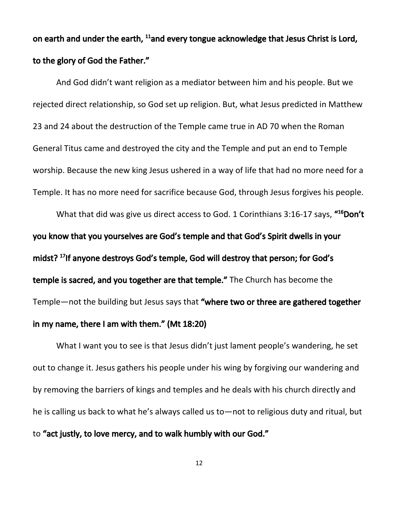on earth and under the earth, <sup>11</sup>and every tongue acknowledge that Jesus Christ is Lord, to the glory of God the Father."

And God didn't want religion as a mediator between him and his people. But we rejected direct relationship, so God set up religion. But, what Jesus predicted in Matthew 23 and 24 about the destruction of the Temple came true in AD 70 when the Roman General Titus came and destroyed the city and the Temple and put an end to Temple worship. Because the new king Jesus ushered in a way of life that had no more need for a Temple. It has no more need for sacrifice because God, through Jesus forgives his people.

What that did was give us direct access to God. 1 Corinthians 3:16-17 says, "<sup>16</sup>Don't you know that you yourselves are God's temple and that God's Spirit dwells in your midst? 17 If anyone destroys God's temple, God will destroy that person; for God's temple is sacred, and you together are that temple." The Church has become the Temple—not the building but Jesus says that "where two or three are gathered together in my name, there I am with them." (Mt 18:20)

What I want you to see is that Jesus didn't just lament people's wandering, he set out to change it. Jesus gathers his people under his wing by forgiving our wandering and by removing the barriers of kings and temples and he deals with his church directly and he is calling us back to what he's always called us to—not to religious duty and ritual, but to "act justly, to love mercy, and to walk humbly with our God."